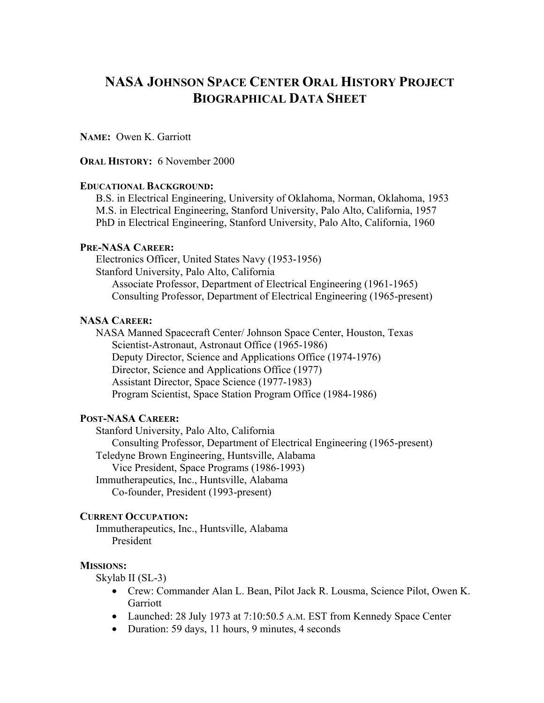# **NASA JOHNSON SPACE CENTER ORAL HISTORY PROJECT BIOGRAPHICAL DATA SHEET**

**NAME:** Owen K. Garriott

**ORAL HISTORY:** 6 November 2000

### **EDUCATIONAL BACKGROUND:**

B.S. in Electrical Engineering, University of Oklahoma, Norman, Oklahoma, 1953 M.S. in Electrical Engineering, Stanford University, Palo Alto, California, 1957 PhD in Electrical Engineering, Stanford University, Palo Alto, California, 1960

### **PRE-NASA CAREER:**

Electronics Officer, United States Navy (1953-1956) Stanford University, Palo Alto, California Associate Professor, Department of Electrical Engineering (1961-1965) Consulting Professor, Department of Electrical Engineering (1965-present)

#### **NASA CAREER:**

NASA Manned Spacecraft Center/ Johnson Space Center, Houston, Texas Scientist-Astronaut, Astronaut Office (1965-1986) Deputy Director, Science and Applications Office (1974-1976) Director, Science and Applications Office (1977) Assistant Director, Space Science (1977-1983) Program Scientist, Space Station Program Office (1984-1986)

### **POST-NASA CAREER:**

Stanford University, Palo Alto, California

Consulting Professor, Department of Electrical Engineering (1965-present)

Teledyne Brown Engineering, Huntsville, Alabama

Vice President, Space Programs (1986-1993)

Immutherapeutics, Inc., Huntsville, Alabama

Co-founder, President (1993-present)

### **CURRENT OCCUPATION:**

Immutherapeutics, Inc., Huntsville, Alabama President

### **MISSIONS:**

Skylab II (SL-3)

- Crew: Commander Alan L. Bean, Pilot Jack R. Lousma, Science Pilot, Owen K. Garriott
- Launched: 28 July 1973 at 7:10:50.5 A.M. EST from Kennedy Space Center
- Duration: 59 days, 11 hours, 9 minutes, 4 seconds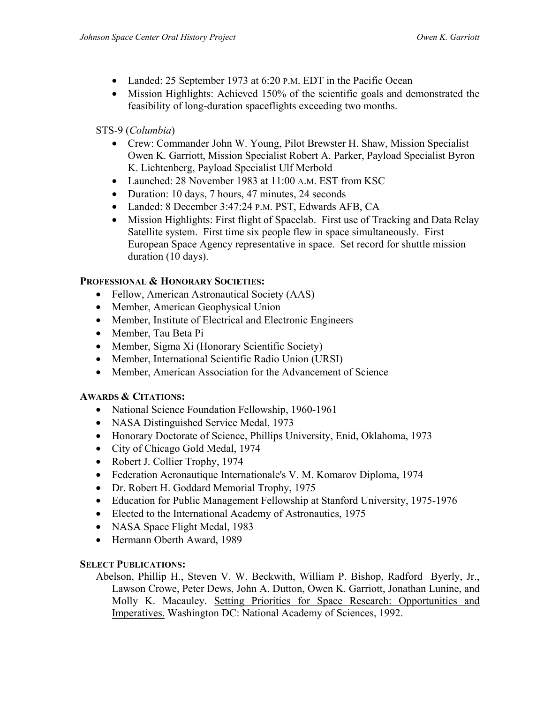- Landed: 25 September 1973 at 6:20 P.M. EDT in the Pacific Ocean
- Mission Highlights: Achieved 150% of the scientific goals and demonstrated the feasibility of long-duration spaceflights exceeding two months.

# STS-9 (*Columbia*)

- Crew: Commander John W. Young, Pilot Brewster H. Shaw, Mission Specialist Owen K. Garriott, Mission Specialist Robert A. Parker, Payload Specialist Byron K. Lichtenberg, Payload Specialist Ulf Merbold
- Launched: 28 November 1983 at 11:00 A.M. EST from KSC
- Duration: 10 days, 7 hours, 47 minutes, 24 seconds
- Landed: 8 December 3:47:24 P.M. PST, Edwards AFB, CA
- Mission Highlights: First flight of Spacelab. First use of Tracking and Data Relay Satellite system. First time six people flew in space simultaneously. First European Space Agency representative in space. Set record for shuttle mission duration (10 days).

# **PROFESSIONAL & HONORARY SOCIETIES:**

- Fellow, American Astronautical Society (AAS)
- Member, American Geophysical Union
- Member, Institute of Electrical and Electronic Engineers
- Member, Tau Beta Pi
- Member, Sigma Xi (Honorary Scientific Society)
- Member, International Scientific Radio Union (URSI)
- Member, American Association for the Advancement of Science

# **AWARDS & CITATIONS:**

- National Science Foundation Fellowship, 1960-1961
- NASA Distinguished Service Medal, 1973
- Honorary Doctorate of Science, Phillips University, Enid, Oklahoma, 1973
- City of Chicago Gold Medal, 1974
- Robert J. Collier Trophy, 1974
- Federation Aeronautique Internationale's V. M. Komarov Diploma, 1974
- Dr. Robert H. Goddard Memorial Trophy, 1975
- Education for Public Management Fellowship at Stanford University, 1975-1976
- Elected to the International Academy of Astronautics, 1975
- NASA Space Flight Medal, 1983
- Hermann Oberth Award, 1989

# **SELECT PUBLICATIONS:**

Abelson, Phillip H., Steven V. W. Beckwith, William P. Bishop, Radford Byerly, Jr., Lawson Crowe, Peter Dews, John A. Dutton, Owen K. Garriott, Jonathan Lunine, and Molly K. Macauley. Setting Priorities for Space Research: Opportunities and Imperatives. Washington DC: National Academy of Sciences, 1992.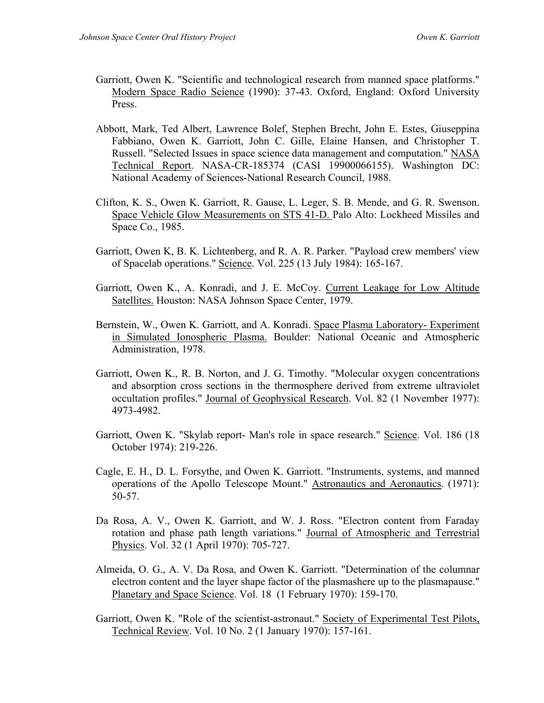- Garriott, Owen K. "Scientific and technological research from manned space platforms." Modern Space Radio Science (1990): 37-43. Oxford, England: Oxford University Press.
- Abbott, Mark, Ted Albert, Lawrence Bolef, Stephen Brecht, John E. Estes, Giuseppina Fabbiano, Owen K. Garriott, John C. Gille, Elaine Hansen, and Christopher T. Russell. "Selected Issues in space science data management and computation." NASA Technical Report. NASA-CR-185374 (CASI 19900066155). Washington DC: National Academy of Sciences-National Research Council, 1988.
- Clifton, K. S., Owen K. Garriott, R. Gause, L. Leger, S. B. Mende, and G. R. Swenson. Space Vehicle Glow Measurements on STS 41-D. Palo Alto: Lockheed Missiles and Space Co., 1985.
- Garriott, Owen K, B. K. Lichtenberg, and R. A. R. Parker. "Payload crew members' view of Spacelab operations." Science. Vol. 225 (13 July 1984): 165-167.
- Garriott, Owen K., A. Konradi, and J. E. McCoy. Current Leakage for Low Altitude Satellites. Houston: NASA Johnson Space Center, 1979.
- Bernstein, W., Owen K. Garriott, and A. Konradi. Space Plasma Laboratory- Experiment in Simulated Ionospheric Plasma. Boulder: National Oceanic and Atmospheric Administration, 1978.
- Garriott, Owen K., R. B. Norton, and J. G. Timothy. "Molecular oxygen concentrations and absorption cross sections in the thermosphere derived from extreme ultraviolet occultation profiles." Journal of Geophysical Research. Vol. 82 (1 November 1977): 4973-4982.
- Garriott, Owen K. "Skylab report- Man's role in space research." Science. Vol. 186 (18 October 1974): 219-226.
- Cagle, E. H., D. L. Forsythe, and Owen K. Garriott. "Instruments, systems, and manned operations of the Apollo Telescope Mount." Astronautics and Aeronautics. (1971): 50-57.
- Da Rosa, A. V., Owen K. Garriott, and W. J. Ross. "Electron content from Faraday rotation and phase path length variations." Journal of Atmospheric and Terrestrial Physics. Vol. 32 (1 April 1970): 705-727.
- Almeida, O. G., A. V. Da Rosa, and Owen K. Garriott. "Determination of the columnar electron content and the layer shape factor of the plasmashere up to the plasmapause." Planetary and Space Science. Vol. 18 (1 February 1970): 159-170.
- Garriott, Owen K. "Role of the scientist-astronaut." Society of Experimental Test Pilots, Technical Review. Vol. 10 No. 2 (1 January 1970): 157-161.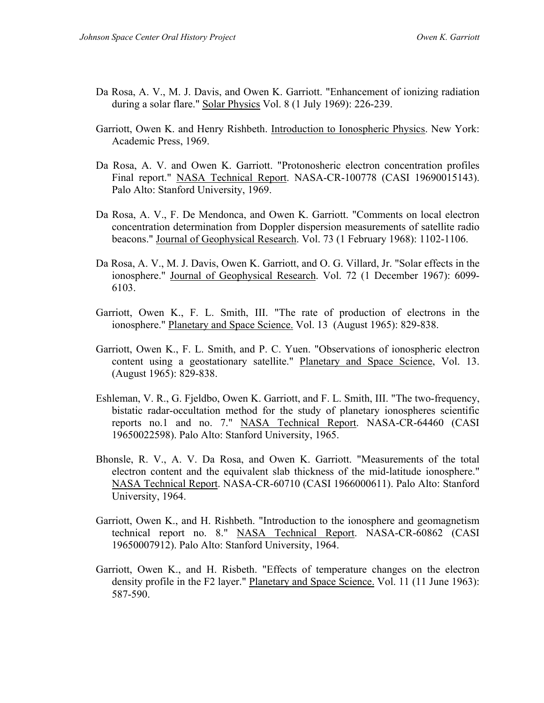- Da Rosa, A. V., M. J. Davis, and Owen K. Garriott. "Enhancement of ionizing radiation during a solar flare." Solar Physics Vol. 8 (1 July 1969): 226-239.
- Garriott, Owen K. and Henry Rishbeth. Introduction to Ionospheric Physics. New York: Academic Press, 1969.
- Da Rosa, A. V. and Owen K. Garriott. "Protonosheric electron concentration profiles Final report." NASA Technical Report. NASA-CR-100778 (CASI 19690015143). Palo Alto: Stanford University, 1969.
- Da Rosa, A. V., F. De Mendonca, and Owen K. Garriott. "Comments on local electron concentration determination from Doppler dispersion measurements of satellite radio beacons." Journal of Geophysical Research. Vol. 73 (1 February 1968): 1102-1106.
- Da Rosa, A. V., M. J. Davis, Owen K. Garriott, and O. G. Villard, Jr. "Solar effects in the ionosphere." Journal of Geophysical Research. Vol. 72 (1 December 1967): 6099- 6103.
- Garriott, Owen K., F. L. Smith, III. "The rate of production of electrons in the ionosphere." Planetary and Space Science. Vol. 13 (August 1965): 829-838.
- Garriott, Owen K., F. L. Smith, and P. C. Yuen. "Observations of ionospheric electron content using a geostationary satellite." Planetary and Space Science, Vol. 13. (August 1965): 829-838.
- Eshleman, V. R., G. Fjeldbo, Owen K. Garriott, and F. L. Smith, III. "The two-frequency, bistatic radar-occultation method for the study of planetary ionospheres scientific reports no.1 and no. 7." NASA Technical Report. NASA-CR-64460 (CASI 19650022598). Palo Alto: Stanford University, 1965.
- Bhonsle, R. V., A. V. Da Rosa, and Owen K. Garriott. "Measurements of the total electron content and the equivalent slab thickness of the mid-latitude ionosphere." NASA Technical Report. NASA-CR-60710 (CASI 1966000611). Palo Alto: Stanford University, 1964.
- Garriott, Owen K., and H. Rishbeth. "Introduction to the ionosphere and geomagnetism technical report no. 8." NASA Technical Report. NASA-CR-60862 (CASI 19650007912). Palo Alto: Stanford University, 1964.
- Garriott, Owen K., and H. Risbeth. "Effects of temperature changes on the electron density profile in the F2 layer." Planetary and Space Science. Vol. 11 (11 June 1963): 587-590.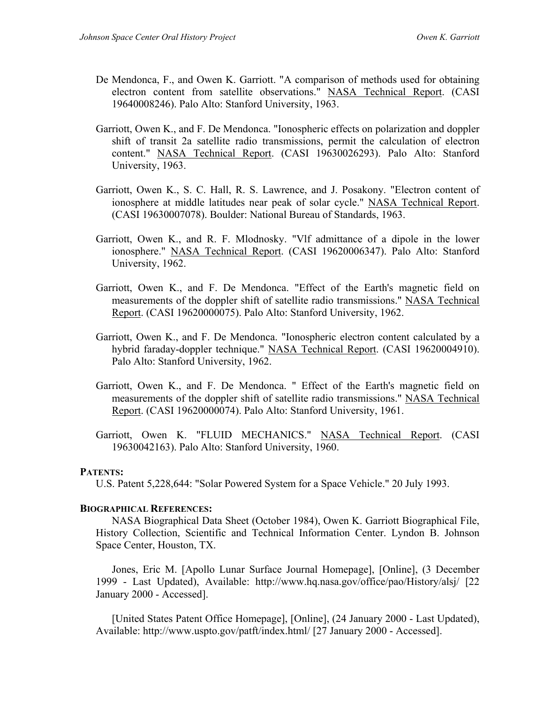- De Mendonca, F., and Owen K. Garriott. "A comparison of methods used for obtaining electron content from satellite observations." NASA Technical Report. (CASI 19640008246). Palo Alto: Stanford University, 1963.
- Garriott, Owen K., and F. De Mendonca. "Ionospheric effects on polarization and doppler shift of transit 2a satellite radio transmissions, permit the calculation of electron content." NASA Technical Report. (CASI 19630026293). Palo Alto: Stanford University, 1963.
- Garriott, Owen K., S. C. Hall, R. S. Lawrence, and J. Posakony. "Electron content of ionosphere at middle latitudes near peak of solar cycle." NASA Technical Report. (CASI 19630007078). Boulder: National Bureau of Standards, 1963.
- Garriott, Owen K., and R. F. Mlodnosky. "Vlf admittance of a dipole in the lower ionosphere." NASA Technical Report. (CASI 19620006347). Palo Alto: Stanford University, 1962.
- Garriott, Owen K., and F. De Mendonca. "Effect of the Earth's magnetic field on measurements of the doppler shift of satellite radio transmissions." NASA Technical Report. (CASI 19620000075). Palo Alto: Stanford University, 1962.
- Garriott, Owen K., and F. De Mendonca. "Ionospheric electron content calculated by a hybrid faraday-doppler technique." NASA Technical Report. (CASI 19620004910). Palo Alto: Stanford University, 1962.
- Garriott, Owen K., and F. De Mendonca. " Effect of the Earth's magnetic field on measurements of the doppler shift of satellite radio transmissions." NASA Technical Report. (CASI 19620000074). Palo Alto: Stanford University, 1961.
- Garriott, Owen K. "FLUID MECHANICS." NASA Technical Report. (CASI 19630042163). Palo Alto: Stanford University, 1960.

### **PATENTS:**

U.S. Patent 5,228,644: "Solar Powered System for a Space Vehicle." 20 July 1993.

### **BIOGRAPHICAL REFERENCES:**

NASA Biographical Data Sheet (October 1984), Owen K. Garriott Biographical File, History Collection, Scientific and Technical Information Center. Lyndon B. Johnson Space Center, Houston, TX.

Jones, Eric M. [Apollo Lunar Surface Journal Homepage], [Online], (3 December 1999 - Last Updated), Available: http://www.hq.nasa.gov/office/pao/History/alsj/ [22 January 2000 - Accessed].

[United States Patent Office Homepage], [Online], (24 January 2000 - Last Updated), Available: http://www.uspto.gov/patft/index.html/ [27 January 2000 - Accessed].